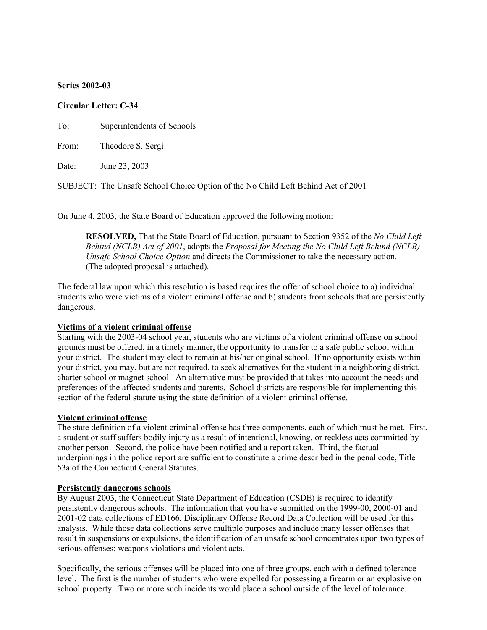### **Series 2002-03**

### **Circular Letter: C-34**

To: Superintendents of Schools

From: Theodore S. Sergi

Date: June 23, 2003

SUBJECT: The Unsafe School Choice Option of the No Child Left Behind Act of 2001

On June 4, 2003, the State Board of Education approved the following motion:

**RESOLVED,** That the State Board of Education, pursuant to Section 9352 of the *No Child Left Behind (NCLB) Act of 2001*, adopts the *Proposal for Meeting the No Child Left Behind (NCLB) Unsafe School Choice Option* and directs the Commissioner to take the necessary action. (The adopted proposal is attached).

The federal law upon which this resolution is based requires the offer of school choice to a) individual students who were victims of a violent criminal offense and b) students from schools that are persistently dangerous.

#### **Victims of a violent criminal offense**

Starting with the 2003-04 school year, students who are victims of a violent criminal offense on school grounds must be offered, in a timely manner, the opportunity to transfer to a safe public school within your district. The student may elect to remain at his/her original school. If no opportunity exists within your district, you may, but are not required, to seek alternatives for the student in a neighboring district, charter school or magnet school. An alternative must be provided that takes into account the needs and preferences of the affected students and parents. School districts are responsible for implementing this section of the federal statute using the state definition of a violent criminal offense.

### **Violent criminal offense**

The state definition of a violent criminal offense has three components, each of which must be met. First, a student or staff suffers bodily injury as a result of intentional, knowing, or reckless acts committed by another person. Second, the police have been notified and a report taken. Third, the factual underpinnings in the police report are sufficient to constitute a crime described in the penal code, Title 53a of the Connecticut General Statutes.

#### **Persistently dangerous schools**

By August 2003, the Connecticut State Department of Education (CSDE) is required to identify persistently dangerous schools. The information that you have submitted on the 1999-00, 2000-01 and 2001-02 data collections of ED166, Disciplinary Offense Record Data Collection will be used for this analysis. While those data collections serve multiple purposes and include many lesser offenses that result in suspensions or expulsions, the identification of an unsafe school concentrates upon two types of serious offenses: weapons violations and violent acts.

Specifically, the serious offenses will be placed into one of three groups, each with a defined tolerance level. The first is the number of students who were expelled for possessing a firearm or an explosive on school property. Two or more such incidents would place a school outside of the level of tolerance.